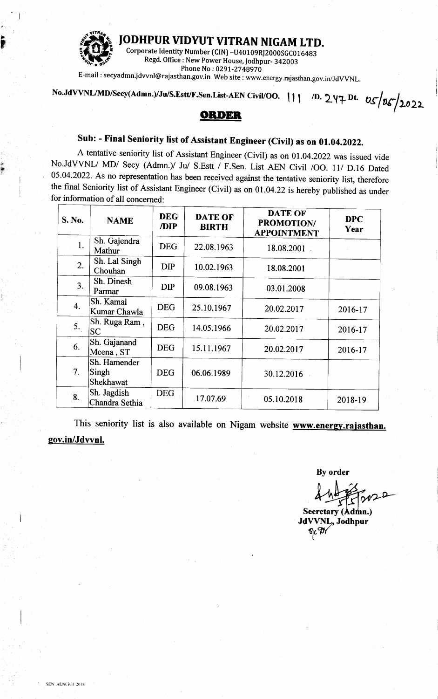

JODHPUR VIDYUT VITRAN NIGAM LTD.

Corporate Identity Number (CIN) -U40109RJ2000SGC016483 Regd. Office: New Power House, Jodhpur- 342003 Phone No: 0291-2748970

E-mail: secyadmn.jdvvnl@rajasthan.gov.in Web site: www.energy.rajasthan.gov.in/JdVVNL.

No.JdVVNL/MD/Secy(Admn.)/Ju/S.Estt/F.Sen.List-AEN Civil/OO. | | | D. 247 Dt. 05/05/2022

## **ORDER**

## Sub: - Final Seniority list of Assistant Engineer (Civil) as on 01.04.2022.

A tentative seniority list of Assistant Engineer (Civil) as on 01.04.2022 was issued vide No.JdVVNL/ MD/ Secy (Admn.)/ Ju/ S.Estt / F.Sen. List AEN Civil /OO. 11/ D.16 Dated 05.04.2022. As no representation has been received against the tentative seniority list, therefore the final Seniority list of Assistant Engineer (Civil) as on 01.04.22 is hereby published as under for information of all concerned:

| S. No.         | <b>NAME</b>                        | <b>DEG</b><br>/DIP | <b>DATE OF</b><br><b>BIRTH</b> | <b>DATE OF</b><br><b>PROMOTION/</b><br><b>APPOINTMENT</b> | <b>DPC</b><br>Year |
|----------------|------------------------------------|--------------------|--------------------------------|-----------------------------------------------------------|--------------------|
| 1.             | Sh. Gajendra<br>Mathur             | <b>DEG</b>         | 22.08.1963                     | 18.08.2001                                                |                    |
| 2.             | Sh. Lal Singh<br>Chouhan           | <b>DIP</b>         | 10.02.1963                     | 18.08.2001                                                |                    |
| 3 <sub>1</sub> | Sh. Dinesh<br>Parmar               | <b>DIP</b>         | 09.08.1963                     | 03.01.2008                                                |                    |
| 4.             | Sh. Kamal<br>Kumar Chawla          | <b>DEG</b>         | 25.10.1967                     | 20.02.2017                                                | 2016-17            |
| 5.             | Sh. Ruga Ram,<br><b>SC</b>         | <b>DEG</b>         | 14.05.1966                     | 20.02.2017                                                | 2016-17            |
| 6.             | Sh. Gajanand<br>Meena, ST          | <b>DEG</b>         | 15.11.1967                     | 20.02.2017                                                | 2016-17            |
| 7.             | Sh. Hamender<br>Singh<br>Shekhawat | <b>DEG</b>         | 06.06.1989                     | 30.12.2016                                                |                    |
| 8.             | Sh. Jagdish<br>Chandra Sethia      | <b>DEG</b>         | 17.07.69                       | 05.10.2018                                                | 2018-19            |

This seniority list is also available on Nigam website www.energy.rajasthan. gov.in/Jdvvnl.

**By order** 

Secretary (Admn.) JdVVNL, Jodhpur 9c9r